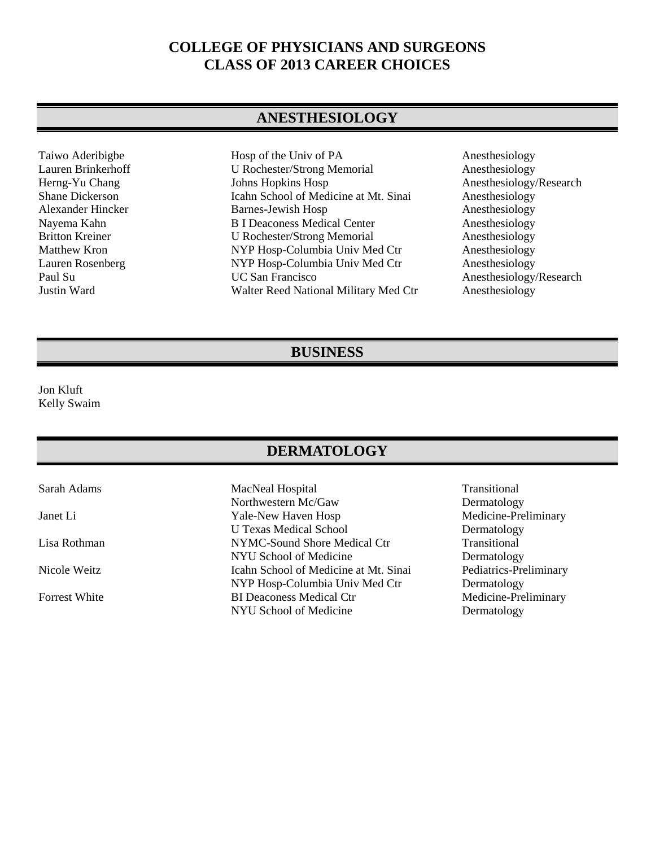## **COLLEGE OF PHYSICIANS AND SURGEONS CLASS OF 2013 CAREER CHOICES**

#### **ANESTHESIOLOGY**

Taiwo Aderibigbe Hosp of the Univ of PA Anesthesiology<br>
Lauren Brinkerhoff U Rochester/Strong Memorial Anesthesiology U Rochester/Strong Memorial Anesthesiology Herng-Yu Chang Johns Hopkins Hosp Anesthesiology/Research Shane Dickerson Icahn School of Medicine at Mt. Sinai Anesthesiology Alexander Hincker Barnes-Jewish Hosp Anesthesiology Nayema Kahn B I Deaconess Medical Center Anesthesiology<br>B I Northesione Britton Kreiner U Rochester/Strong Memorial Anesthesiology U Rochester/Strong Memorial Matthew Kron NYP Hosp-Columbia Univ Med Ctr Anesthesiology Lauren Rosenberg MYP Hosp-Columbia Univ Med Ctr Anesthesiology<br>Paul Su CSan Francisco Anesthesiology Justin Ward Walter Reed National Military Med Ctr Anesthesiology

Anesthesiology/Research

#### **BUSINESS**

Jon Kluft Kelly Swaim

#### **DERMATOLOGY**

Sarah Adams MacNeal Hospital Transitional Northwestern Mc/Gaw Dermatology Janet Li Yale-New Haven Hosp Medicine-Preliminary U Texas Medical School Dermatology Lisa Rothman NYMC-Sound Shore Medical Ctr Transitional NYU School of Medicine<br>
Icahn School of Medicine at Mt. Sinai<br>
Pediatrics-Preliminary Nicole Weitz **Icahn School of Medicine at Mt. Sinai** NYP Hosp-Columbia Univ Med Ctr<br>
BI Deaconess Medical Ctr<br>
Medicine-Preliminary Forrest White BI Deaconess Medical Ctr NYU School of Medicine Dermatology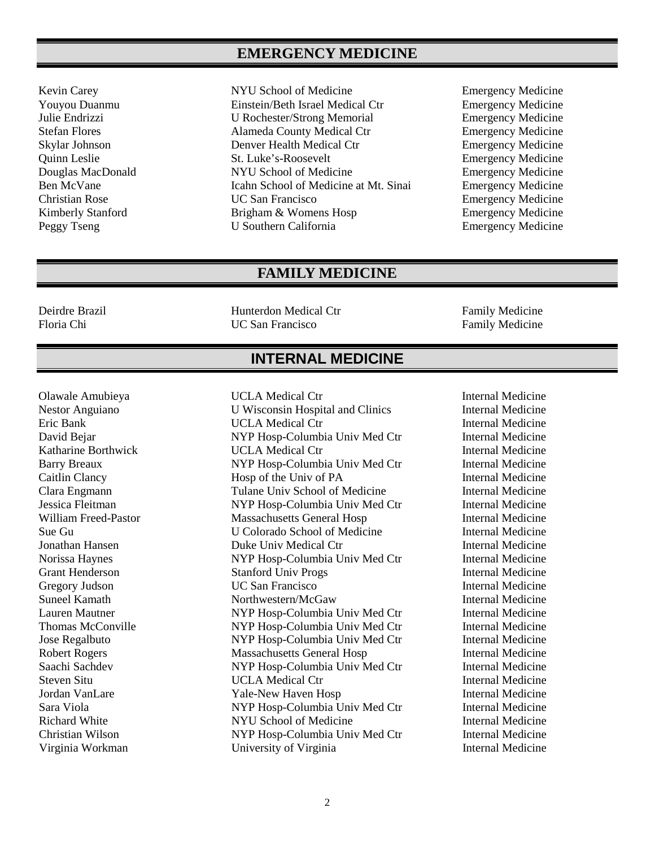### **EMERGENCY MEDICINE**

- 
- Kevin Carey **NYU** School of Medicine Emergency Medicine Youyou Duanmu Einstein/Beth Israel Medical Ctr Emergency Medicine U Rochester/Strong Memorial Stefan Flores Alameda County Medical Ctr Emergency Medicine Skylar Johnson Denver Health Medical Ctr Emergency Medicine Quinn Leslie St. Luke's-Roosevelt Emergency Medicine Douglas MacDonald NYU School of Medicine Emergency Medicine Ben McVane **Icahn School of Medicine at Mt. Sinai** Emergency Medicine Christian Rose UC San Francisco Emergency Medicine Kimberly Stanford **Brigham & Womens Hosp** Emergency Medicine Peggy Tseng U Southern California Emergency Medicine
	-

#### **FAMILY MEDICINE**

Deirdre Brazil Hunterdon Medical Ctr Family Medicine

Family Medicine

# **INTERNAL MEDICINE**

Olawale Amubieya **Internal Medicine** UCLA Medical Ctr

Nestor Anguiano U Wisconsin Hospital and Clinics Internal Medicine Eric Bank **Internal Medicine UCLA Medical Ctr Internal Medicine** David Bejar NYP Hosp-Columbia Univ Med Ctr Internal Medicine Katharine Borthwick **Internal Medicine** UCLA Medical Ctr **Internal Medicine** Barry Breaux NYP Hosp-Columbia Univ Med Ctr Internal Medicine Caitlin Clancy Hosp of the Univ of PA Internal Medicine Clara Engmann Tulane Univ School of Medicine Internal Medicine Jessica Fleitman NYP Hosp-Columbia Univ Med Ctr Internal Medicine William Freed-Pastor **Massachusetts General Hosp** Internal Medicine Sue Gu U Colorado School of Medicine Internal Medicine Jonathan Hansen Duke Univ Medical Ctr Internal Medicine<br>
Norissa Haynes NYP Hosp-Columbia Univ Med Ctr Internal Medicine NYP Hosp-Columbia Univ Med Ctr Grant Henderson Stanford Univ Progs Internal Medicine Gregory Judson **Internal Medicine** UC San Francisco **Internal Medicine** Suneel Kamath **Northwestern/McGaw** Internal Medicine Lauren Mautner NYP Hosp-Columbia Univ Med Ctr Internal Medicine Thomas McConville NYP Hosp-Columbia Univ Med Ctr Internal Medicine Jose Regalbuto NYP Hosp-Columbia Univ Med Ctr Internal Medicine Robert Rogers Massachusetts General Hosp Internal Medicine Saachi Sachdev NYP Hosp-Columbia Univ Med Ctr Internal Medicine Steven Situ **Internal Medicine** UCLA Medical Ctr **Internal Medicine** Jordan VanLare Yale-New Haven Hosp Internal Medicine Sara Viola NYP Hosp-Columbia Univ Med Ctr Internal Medicine Richard White NYU School of Medicine Internal Medicine Christian Wilson NYP Hosp-Columbia Univ Med Ctr Internal Medicine Virginia Workman University of Virginia Internal Medicine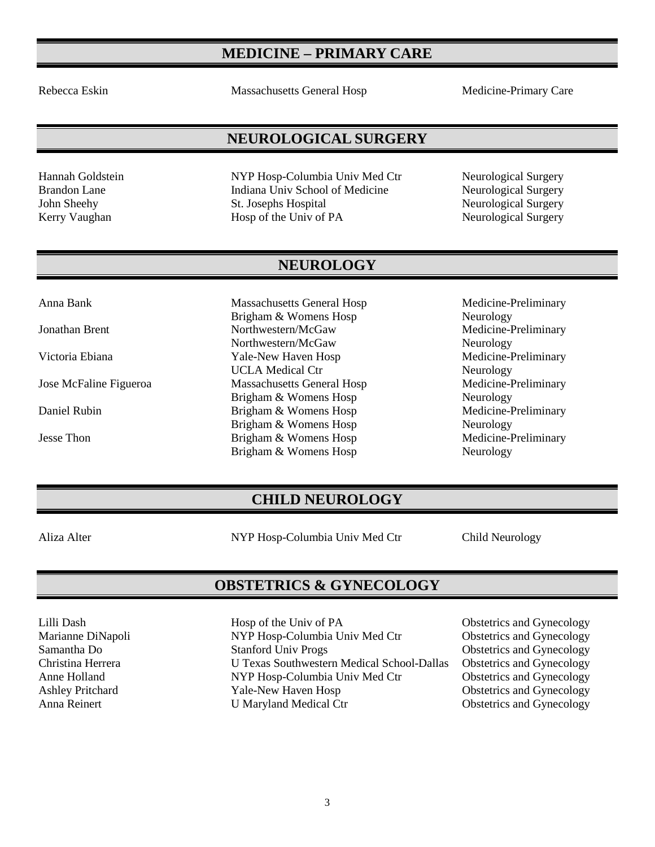# **MEDICINE – PRIMARY CARE**

Rebecca Eskin Massachusetts General Hosp Medicine-Primary Care

### **NEUROLOGICAL SURGERY**

Hannah Goldstein NYP Hosp-Columbia Univ Med Ctr Neurological Surgery Brandon Lane **Indiana Univ School of Medicine** Neurological Surgery John Sheehy St. Josephs Hospital Neurological Surgery<br>
Kerry Vaughan Hosp of the Univ of PA Neurological Surgery Kerry Vaughan Hosp of the Univ of PA

#### **NEUROLOGY**

Brigham & Womens Hosp<br>
Neurology<br>
Northwestern/McGaw<br>
Medicine-F Jonathan Brent Northwestern/McGaw Medicine-Preliminary Northwestern/McGaw Neurology Victoria Ebiana **Yale-New Haven Hosp** Medicine-Preliminary UCLA Medical Ctr<br>
Massachusetts General Hosp<br>
Medicine-Preliminary Jose McFaline Figueroa Massachusetts General Hosp Brigham & Womens Hosp Neurology Daniel Rubin Brigham & Womens Hosp Medicine-Preliminary Brigham & Womens Hosp Neurology Jesse Thon Brigham & Womens Hosp Medicine-Preliminary Brigham & Womens Hosp Neurology

Anna Bank Massachusetts General Hosp Medicine-Preliminary

# **CHILD NEUROLOGY**

Aliza Alter NYP Hosp-Columbia Univ Med Ctr Child Neurology

#### **OBSTETRICS & GYNECOLOGY**

Lilli Dash Hosp of the Univ of PA Obstetrics and Gynecology Marianne DiNapoli NYP Hosp-Columbia Univ Med Ctr **Obstetrics and Gynecology** Samantha Do Stanford Univ Progs Obstetrics and Gynecology<br>Christina Herrera U Texas Southwestern Medical School-Dallas Obstetrics and Gynecology Christina Herrera <br>
U Texas Southwestern Medical School-Dallas Obstetrics and Gynecology<br>
MYP Hosp-Columbia Univ Med Ctr<br>
Obstetrics and Gynecology NYP Hosp-Columbia Univ Med Ctr<br>Yale-New Haven Hosp Ashley Pritchard Yale-New Haven Hosp Obstetrics and Gynecology Anna Reinert **U Maryland Medical Ctr Obstetrics and Gynecology**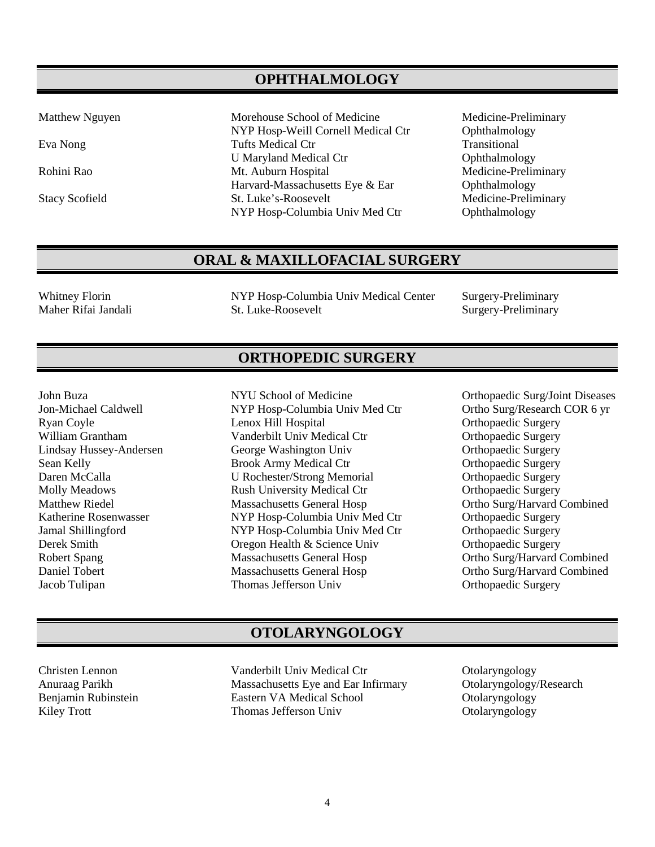#### **OPHTHALMOLOGY**

Matthew Nguyen Morehouse School of Medicine Medicine-Preliminary NYP Hosp-Weill Cornell Medical Ctr Ophthalmology Eva Nong Tufts Medical Ctr Transitional Tufts Medical Ctr Transitional Transitional U Maryland Medical Ctr Ophthalmology Rohini Rao Mt. Auburn Hospital Medicine-Preliminary Harvard-Massachusetts Eye & Ear Ophthalmology Stacy Scofield St. Luke's-Roosevelt Medicine-Preliminary<br>NYP Hosp-Columbia Univ Med Ctr Ophthalmology NYP Hosp-Columbia Univ Med Ctr

## **ORAL & MAXILLOFACIAL SURGERY**

Whitney Florin **NYP Hosp-Columbia Univ Medical Center** Surgery-Preliminary Maher Rifai Jandali St. Luke-Roosevelt Surgery-Preliminary

#### **ORTHOPEDIC SURGERY**

Lindsay Hussey-Andersen George Washington Univ

Jon-Michael Caldwell NYP Hosp-Columbia Univ Med Ctr Ortho Surg/Research COR 6 yr Ryan Coyle Lenox Hill Hospital Ctr Corthopaedic Surgery<br>
William Grantham Vanderbilt Univ Medical Ctr Orthopaedic Surgery William Grantham Mandersen Vanderbilt Univ Medical Ctr Crthopaedic Surgery<br>
Univ Medical Ctr Crthopaedic Surgery<br>
Orthopaedic Surgery Sean Kelly Brook Army Medical Ctr Orthopaedic Surgery Daren McCalla U Rochester/Strong Memorial Molly Meadows Rush University Medical Ctr Orthopaedic Surgery Matthew Riedel Massachusetts General Hosp Ortho Surg/Harvard Combined Katherine Rosenwasser MYP Hosp-Columbia Univ Med Ctr<br>
1989 - Samal Shillingford MYP Hosp-Columbia Univ Med Ctr<br>
2011 - Orthopaedic Surgery Jamal Shillingford NYP Hosp-Columbia Univ Med Ctr Derek Smith Oregon Health & Science Univ Orthopaedic Surgery Robert Spang Massachusetts General Hosp Ortho Surg/Harvard Combined<br>
Daniel Tobert Massachusetts General Hosp Ortho Surg/Harvard Combined Daniel Tobert Massachusetts General Hosp Ortho Surg/Harvard Combined Jacob Tulipan and Thomas Jefferson Univ

John Buza NYU School of Medicine Orthopaedic Surg/Joint Diseases Orthopaedic Surgery

## **OTOLARYNGOLOGY**

Christen Lennon Vanderbilt Univ Medical Ctr Ctrl Otolaryngology<br>
Anuraag Parikh Massachusetts Eye and Ear Infirmary Otolaryngology Massachusetts Eye and Ear Infirmary Otolaryngology/Research Benjamin Rubinstein **Eastern VA Medical School Colaryngology** Kiley Trott Thomas Jefferson Univ Otolaryngology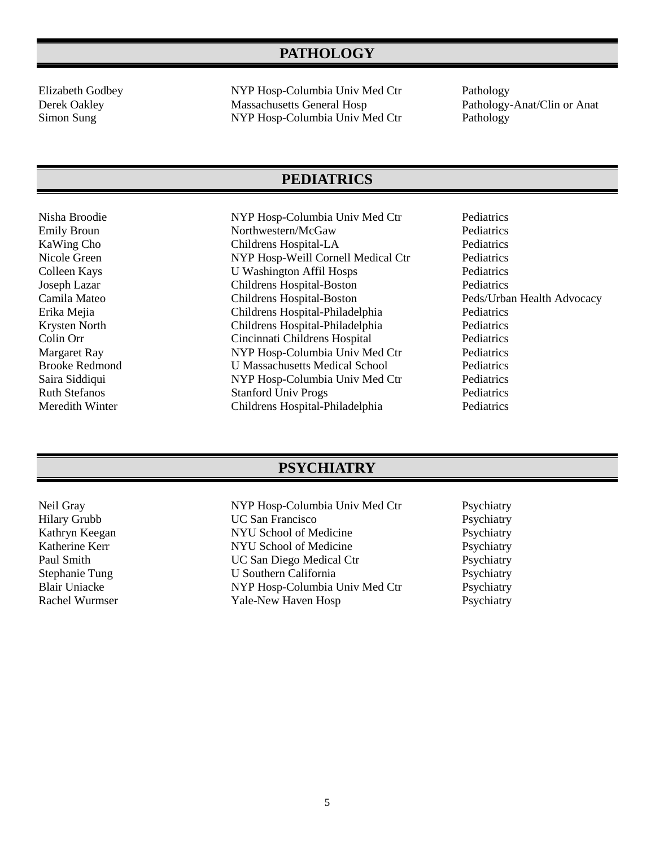# **PATHOLOGY**

Elizabeth Godbey NYP Hosp-Columbia Univ Med Ctr Pathology Derek Oakley Massachusetts General Hosp Pathology-Anat/Clin or Anat<br>
Simon Sung MYP Hosp-Columbia Univ Med Ctr Pathology NYP Hosp-Columbia Univ Med Ctr Pathology

#### **PEDIATRICS**

Nisha Broodie NYP Hosp-Columbia Univ Med Ctr Pediatrics Emily Broun Northwestern/McGaw Pediatrics KaWing Cho Childrens Hospital-LA Pediatrics Nicole Green NYP Hosp-Weill Cornell Medical Ctr Pediatrics<br>Colleen Kays U Washington Affil Hosps Pediatrics U Washington Affil Hosps Pediatrics Joseph Lazar Childrens Hospital-Boston Pediatrics Camila Mateo Childrens Hospital-Boston Peds/Urban Health Advocacy Erika Mejia Childrens Hospital-Philadelphia Pediatrics Childrens Hospital-Philadelphia Pediatrics Colin Orr Cincinnati Childrens Hospital Pediatrics Margaret Ray **NYP Hosp-Columbia Univ Med Ctr** Pediatrics Brooke Redmond U Massachusetts Medical School Pediatrics Saira Siddiqui NYP Hosp-Columbia Univ Med Ctr Pediatrics Ruth Stefanos Stanford Univ Progs Pediatrics<br>
Meredith Winter Childrens Hospital-Philadelphia Pediatrics Childrens Hospital-Philadelphia Pediatrics

#### **PSYCHIATRY**

| Neil Gray             | NYP Hosp-Columbia Univ Med Ctr | Psychiatry |
|-----------------------|--------------------------------|------------|
| <b>Hilary Grubb</b>   | <b>UC San Francisco</b>        | Psychiatry |
| Kathryn Keegan        | NYU School of Medicine         | Psychiatry |
| Katherine Kerr        | NYU School of Medicine         | Psychiatry |
| Paul Smith            | UC San Diego Medical Ctr       | Psychiatry |
| <b>Stephanie Tung</b> | U Southern California          | Psychiatry |
| <b>Blair Uniacke</b>  | NYP Hosp-Columbia Univ Med Ctr | Psychiatry |
| Rachel Wurmser        | Yale-New Haven Hosp            | Psychiatry |
|                       |                                |            |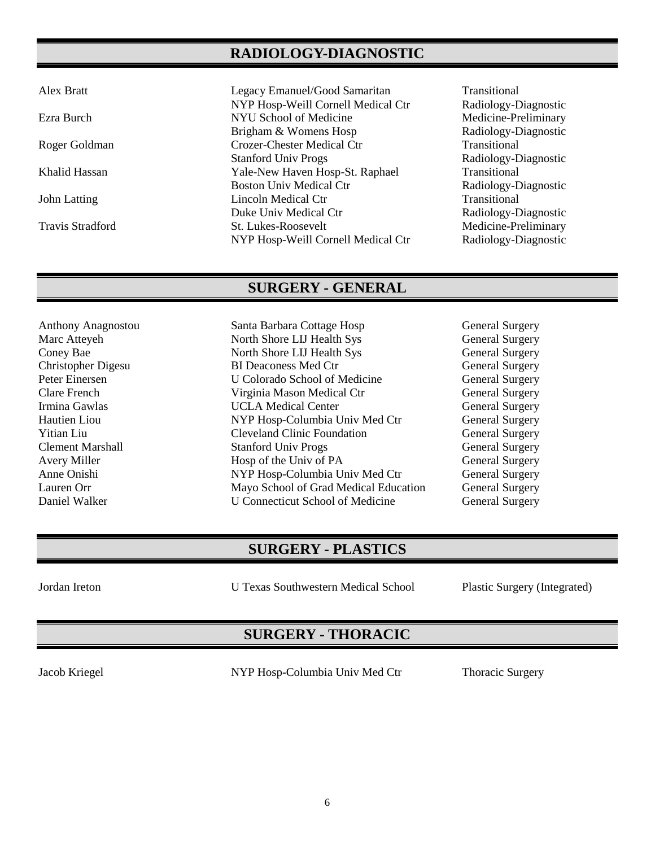# **RADIOLOGY-DIAGNOSTIC**

Alex Bratt Legacy Emanuel/Good Samaritan Transitional NYP Hosp-Weill Cornell Medical Ctr Radiology-Diagnostic Ezra Burch NYU School of Medicine Medicine-Preliminary Brigham & Womens Hosp Radiology-Diagnostic Roger Goldman Crozer-Chester Medical Ctr Transitional Stanford Univ Progs Radiology-Diagnostic Khalid Hassan Yale-New Haven Hosp-St. Raphael Transitional Boston Univ Medical Ctr Radiology-Diagnostic John Latting Lincoln Medical Ctr Transitional Duke Univ Medical Ctr Radiology-Diagnostic Travis Stradford St. Lukes-Roosevelt Medicine-Preliminary NYP Hosp-Weill Cornell Medical Ctr Radiology-Diagnostic

### **SURGERY - GENERAL**

- 
- Anthony Anagnostou Santa Barbara Cottage Hosp General Surgery Marc Atteyeh North Shore LIJ Health Sys General Surgery Coney Bae North Shore LIJ Health Sys General Surgery Christopher Digesu BI Deaconess Med Ctr General Surgery Peter Einersen U Colorado School of Medicine General Surgery Clare French Virginia Mason Medical Ctr General Surgery UCLA Medical Center General Surgery Hautien Liou NYP Hosp-Columbia Univ Med Ctr General Surgery Yitian Liu Cleveland Clinic Foundation General Surgery Clement Marshall Stanford Univ Progs General Surgery Avery Miller **Hosp of the Univ of PA** General Surgery Anne Onishi NYP Hosp-Columbia Univ Med Ctr General Surgery Lauren Orr Mayo School of Grad Medical Education General Surgery Daniel Walker U Connecticut School of Medicine General Surgery

# **SURGERY - PLASTICS**

Jordan Ireton U Texas Southwestern Medical School Plastic Surgery (Integrated)

# **SURGERY - THORACIC**

Jacob Kriegel NYP Hosp-Columbia Univ Med Ctr Thoracic Surgery